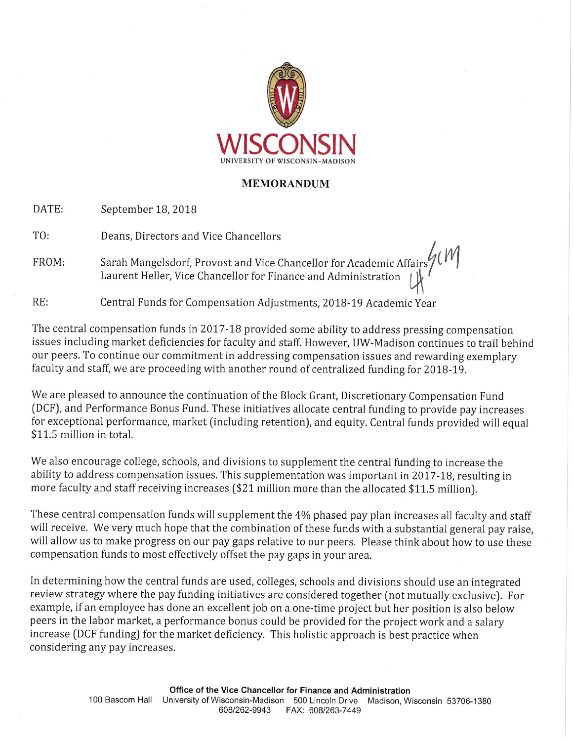

#### **MEMORANDUM**

DATE: September 18, 2018

TO: Deans, Directors and Vice Chancellors

Sarah Mangelsdorf, Provost and Vice Chancellor for Academic Affairs FROM: Laurent Heller, Vice Chancellor for Finance and Administration

 $RE:$ Central Funds for Compensation Adjustments, 2018-19 Academic Year

The central compensation funds in 2017-18 provided some ability to address pressing compensation issues including market deficiencies for faculty and staff. However, UW-Madison continues to trail behind our peers. To continue our commitment in addressing compensation issues and rewarding exemplary faculty and staff, we are proceeding with another round of centralized funding for 2018-19.

We are pleased to announce the continuation of the Block Grant, Discretionary Compensation Fund (DCF), and Performance Bonus Fund. These initiatives allocate central funding to provide pay increases for exceptional performance, market (including retention), and equity. Central funds provided will equal \$11.5 million in total.

We also encourage college, schools, and divisions to supplement the central funding to increase the ability to address compensation issues. This supplementation was important in 2017-18, resulting in more faculty and staff receiving increases (\$21 million more than the allocated \$11.5 million).

These central compensation funds will supplement the 4% phased pay plan increases all faculty and staff will receive. We very much hope that the combination of these funds with a substantial general pay raise, will allow us to make progress on our pay gaps relative to our peers. Please think about how to use these compensation funds to most effectively offset the pay gaps in your area.

In determining how the central funds are used, colleges, schools and divisions should use an integrated review strategy where the pay funding initiatives are considered together (not mutually exclusive). For example, if an employee has done an excellent job on a one-time project but her position is also below peers in the labor market, a performance bonus could be provided for the project work and a salary increase (DCF funding) for the market deficiency. This holistic approach is best practice when considering any pay increases.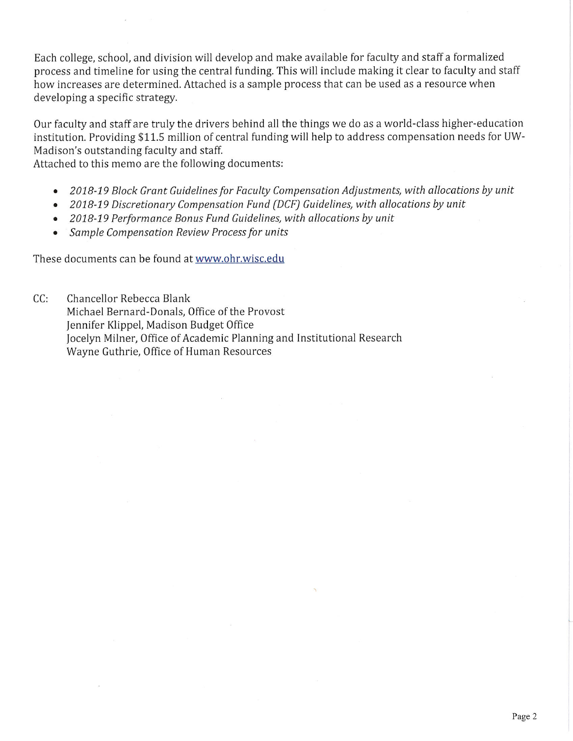Each college, school, and division will develop and make available for faculty and staff a formalized process and timeline for using the central funding. This will include making it clear to faculty and staff how increases are determined. Attached is a sample process that can be used as a resource when developing a specific strategy.

Our faculty and staff are truly the drivers behind all the things we do as a world-class higher-education institution. Providing \$11.5 million of central funding will help to address compensation needs for UW-Madison's outstanding faculty and staff.

Attached to this memo are the following documents:

- 2018-19 Block Grant Guidelines for Faculty Compensation Adjustments, with allocations by unit
- 2018-19 Discretionary Compensation Fund (DCF) Guidelines, with allocations by unit
- 2018-19 Performance Bonus Fund Guidelines, with allocations by unit
- Sample Compensation Review Process for units

These documents can be found at www.ohr.wisc.edu

 $CC:$ Chancellor Rebecca Blank Michael Bernard-Donals, Office of the Provost Jennifer Klippel, Madison Budget Office Jocelyn Milner, Office of Academic Planning and Institutional Research Wayne Guthrie, Office of Human Resources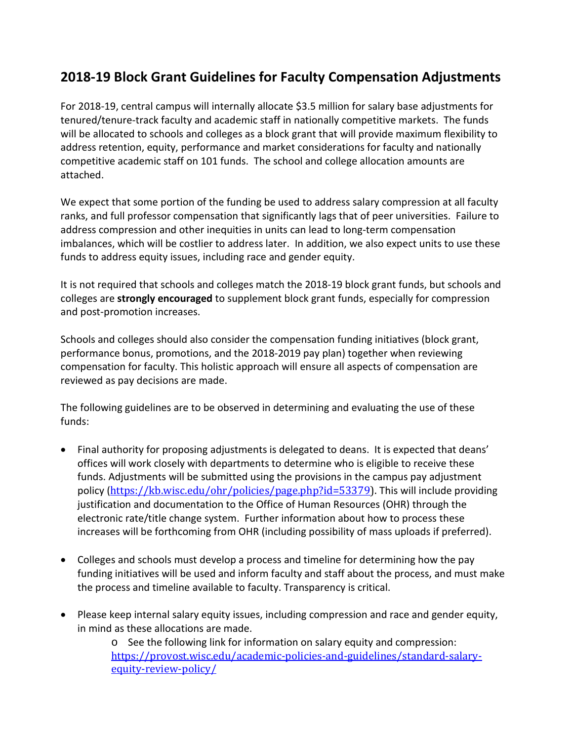## **2018-19 Block Grant Guidelines for Faculty Compensation Adjustments**

For 2018-19, central campus will internally allocate \$3.5 million for salary base adjustments for tenured/tenure-track faculty and academic staff in nationally competitive markets. The funds will be allocated to schools and colleges as a block grant that will provide maximum flexibility to address retention, equity, performance and market considerations for faculty and nationally competitive academic staff on 101 funds. The school and college allocation amounts are attached.

We expect that some portion of the funding be used to address salary compression at all faculty ranks, and full professor compensation that significantly lags that of peer universities. Failure to address compression and other inequities in units can lead to long-term compensation imbalances, which will be costlier to address later. In addition, we also expect units to use these funds to address equity issues, including race and gender equity.

It is not required that schools and colleges match the 2018-19 block grant funds, but schools and colleges are **strongly encouraged** to supplement block grant funds, especially for compression and post-promotion increases.

Schools and colleges should also consider the compensation funding initiatives (block grant, performance bonus, promotions, and the 2018-2019 pay plan) together when reviewing compensation for faculty. This holistic approach will ensure all aspects of compensation are reviewed as pay decisions are made.

The following guidelines are to be observed in determining and evaluating the use of these funds:

- Final authority for proposing adjustments is delegated to deans. It is expected that deans' offices will work closely with departments to determine who is eligible to receive these funds. Adjustments will be submitted using the provisions in the campus pay adjustment policy ([https://kb.wisc.edu/ohr/policies/page.php?id=53379\)](https://kb.wisc.edu/ohr/policies/page.php?id=53379). This will include providing justification and documentation to the Office of Human Resources (OHR) through the electronic rate/title change system. Further information about how to process these increases will be forthcoming from OHR (including possibility of mass uploads if preferred).
- Colleges and schools must develop a process and timeline for determining how the pay funding initiatives will be used and inform faculty and staff about the process, and must make the process and timeline available to faculty. Transparency is critical.
- Please keep internal salary equity issues, including compression and race and gender equity, in mind as these allocations are made.

o See the following link for information on salary equity and compression: [https://provost.wisc.edu/academic-policies-and-guidelines/standard-salary](https://provost.wisc.edu/academic-policies-and-guidelines/standard-salary-equity-review-policy/)[equity-review-policy/](https://provost.wisc.edu/academic-policies-and-guidelines/standard-salary-equity-review-policy/)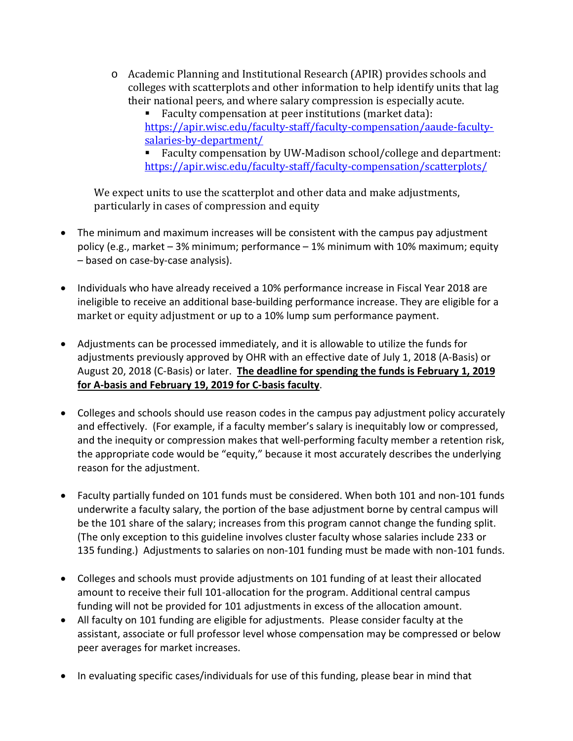o Academic Planning and Institutional Research (APIR) provides schools and colleges with scatterplots and other information to help identify units that lag their national peers, and where salary compression is especially acute.

 Faculty compensation at peer institutions (market data): [https://apir.wisc.edu/faculty-staff/faculty-compensation/aaude-faculty](https://apir.wisc.edu/faculty-staff/faculty-compensation/aaude-faculty-salaries-by-department/)[salaries-by-department/](https://apir.wisc.edu/faculty-staff/faculty-compensation/aaude-faculty-salaries-by-department/)

 Faculty compensation by UW-Madison school/college and department: <https://apir.wisc.edu/faculty-staff/faculty-compensation/scatterplots/>

We expect units to use the scatterplot and other data and make adjustments, particularly in cases of compression and equity

- The minimum and maximum increases will be consistent with the campus pay adjustment policy (e.g., market – 3% minimum; performance – 1% minimum with 10% maximum; equity – based on case-by-case analysis).
- Individuals who have already received a 10% performance increase in Fiscal Year 2018 are ineligible to receive an additional base-building performance increase. They are eligible for a [market or equity adjustment](https://www.ohr.wisc.edu/docs/PayAdjustmentToolsMechanismsAmountMatrix.pdf) or up to a 10% lump sum performance payment.
- Adjustments can be processed immediately, and it is allowable to utilize the funds for adjustments previously approved by OHR with an effective date of July 1, 2018 (A-Basis) or August 20, 2018 (C-Basis) or later. **The deadline for spending the funds is February 1, 2019 for A-basis and February 19, 2019 for C-basis faculty**.
- Colleges and schools should use reason codes in the campus pay adjustment policy accurately and effectively. (For example, if a faculty member's salary is inequitably low or compressed, and the inequity or compression makes that well-performing faculty member a retention risk, the appropriate code would be "equity," because it most accurately describes the underlying reason for the adjustment.
- Faculty partially funded on 101 funds must be considered. When both 101 and non-101 funds underwrite a faculty salary, the portion of the base adjustment borne by central campus will be the 101 share of the salary; increases from this program cannot change the funding split. (The only exception to this guideline involves cluster faculty whose salaries include 233 or 135 funding.) Adjustments to salaries on non-101 funding must be made with non-101 funds.
- Colleges and schools must provide adjustments on 101 funding of at least their allocated amount to receive their full 101-allocation for the program. Additional central campus funding will not be provided for 101 adjustments in excess of the allocation amount.
- All faculty on 101 funding are eligible for adjustments. Please consider faculty at the assistant, associate or full professor level whose compensation may be compressed or below peer averages for market increases.
- In evaluating specific cases/individuals for use of this funding, please bear in mind that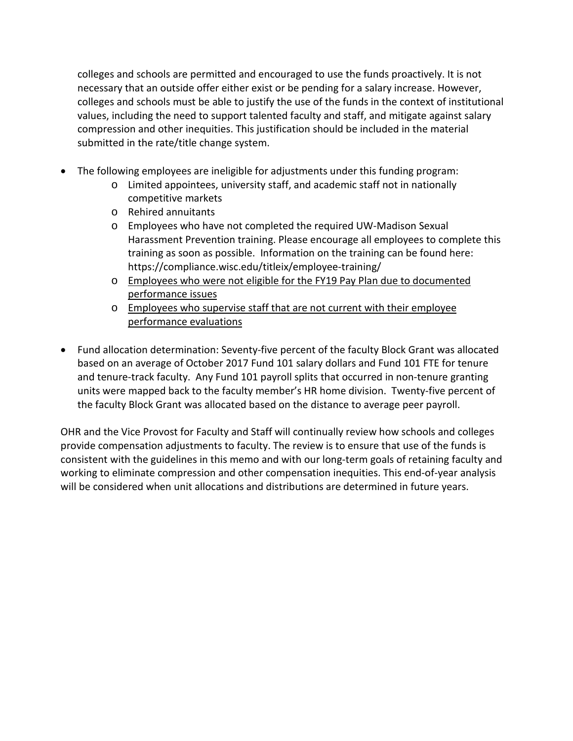colleges and schools are permitted and encouraged to use the funds proactively. It is not necessary that an outside offer either exist or be pending for a salary increase. However, colleges and schools must be able to justify the use of the funds in the context of institutional values, including the need to support talented faculty and staff, and mitigate against salary compression and other inequities. This justification should be included in the material submitted in the rate/title change system.

- The following employees are ineligible for adjustments under this funding program:
	- o Limited appointees, university staff, and academic staff not in nationally competitive markets
	- o Rehired annuitants
	- o Employees who have not completed the required UW-Madison Sexual Harassment Prevention training. Please encourage all employees to complete this training as soon as possible. Information on the training can be found here: https://compliance.wisc.edu/titleix/employee-training/
	- o Employees who were not eligible for the FY19 Pay Plan due to documented performance issues
	- o Employees who supervise staff that are not current with their employee performance evaluations
- Fund allocation determination: Seventy-five percent of the faculty Block Grant was allocated based on an average of October 2017 Fund 101 salary dollars and Fund 101 FTE for tenure and tenure-track faculty. Any Fund 101 payroll splits that occurred in non-tenure granting units were mapped back to the faculty member's HR home division. Twenty-five percent of the faculty Block Grant was allocated based on the distance to average peer payroll.

OHR and the Vice Provost for Faculty and Staff will continually review how schools and colleges provide compensation adjustments to faculty. The review is to ensure that use of the funds is consistent with the guidelines in this memo and with our long-term goals of retaining faculty and working to eliminate compression and other compensation inequities. This end-of-year analysis will be considered when unit allocations and distributions are determined in future years.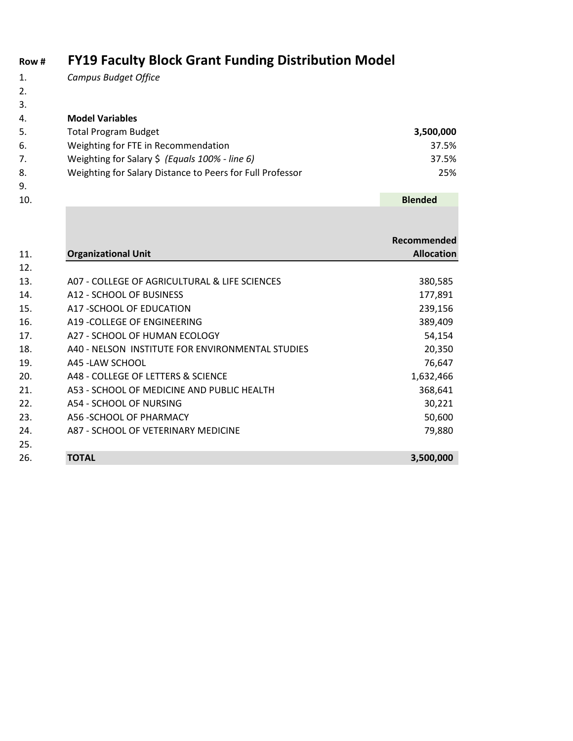# **Row # FY19 Faculty Block Grant Funding Distribution Model**

- 1. *Campus Budget Office*
- 2.
- 3.

9.

4. **Model Variables**

| 5. | <b>Total Program Budget</b>                               | 3,500,000 |
|----|-----------------------------------------------------------|-----------|
| 6. | Weighting for FTE in Recommendation                       | 37.5%     |
|    | Weighting for Salary \$ (Equals $100\%$ - line 6)         | 37.5%     |
| 8. | Weighting for Salary Distance to Peers for Full Professor | 25%       |

| 10. |                                                  | <b>Blended</b>     |
|-----|--------------------------------------------------|--------------------|
|     |                                                  |                    |
|     |                                                  | <b>Recommended</b> |
| 11. | <b>Organizational Unit</b>                       | <b>Allocation</b>  |
| 12. |                                                  |                    |
| 13. | A07 - COLLEGE OF AGRICULTURAL & LIFE SCIENCES    | 380,585            |
| 14. | A12 - SCHOOL OF BUSINESS                         | 177,891            |
| 15. | A17 - SCHOOL OF EDUCATION                        | 239,156            |
| 16. | A19 - COLLEGE OF ENGINEERING                     | 389,409            |
| 17. | A27 - SCHOOL OF HUMAN ECOLOGY                    | 54,154             |
| 18. | A40 - NELSON INSTITUTE FOR ENVIRONMENTAL STUDIES | 20,350             |
| 19. | A45 - LAW SCHOOL                                 | 76,647             |
| 20. | A48 - COLLEGE OF LETTERS & SCIENCE               | 1,632,466          |
| 21. | A53 - SCHOOL OF MEDICINE AND PUBLIC HEALTH       | 368,641            |
| 22. | A54 - SCHOOL OF NURSING                          | 30,221             |
| 23. | A56 - SCHOOL OF PHARMACY                         | 50,600             |
| 24. | A87 - SCHOOL OF VETERINARY MEDICINE              | 79,880             |
| 25. |                                                  |                    |
| 26. | <b>TOTAL</b>                                     | 3,500,000          |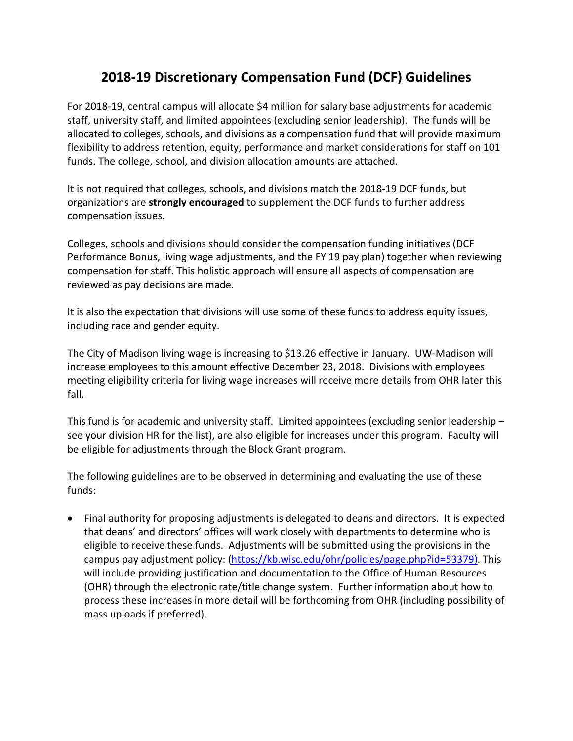### **2018-19 Discretionary Compensation Fund (DCF) Guidelines**

For 2018-19, central campus will allocate \$4 million for salary base adjustments for academic staff, university staff, and limited appointees (excluding senior leadership). The funds will be allocated to colleges, schools, and divisions as a compensation fund that will provide maximum flexibility to address retention, equity, performance and market considerations for staff on 101 funds. The college, school, and division allocation amounts are attached.

It is not required that colleges, schools, and divisions match the 2018-19 DCF funds, but organizations are **strongly encouraged** to supplement the DCF funds to further address compensation issues.

Colleges, schools and divisions should consider the compensation funding initiatives (DCF Performance Bonus, living wage adjustments, and the FY 19 pay plan) together when reviewing compensation for staff. This holistic approach will ensure all aspects of compensation are reviewed as pay decisions are made.

It is also the expectation that divisions will use some of these funds to address equity issues, including race and gender equity.

The City of Madison living wage is increasing to \$13.26 effective in January. UW-Madison will increase employees to this amount effective December 23, 2018. Divisions with employees meeting eligibility criteria for living wage increases will receive more details from OHR later this fall.

This fund is for academic and university staff. Limited appointees (excluding senior leadership – see your division HR for the list), are also eligible for increases under this program. Faculty will be eligible for adjustments through the Block Grant program.

The following guidelines are to be observed in determining and evaluating the use of these funds:

• Final authority for proposing adjustments is delegated to deans and directors. It is expected that deans' and directors' offices will work closely with departments to determine who is eligible to receive these funds. Adjustments will be submitted using the provisions in the campus pay adjustment policy: [\(https://kb.wisc.edu/ohr/policies/page.php?id=53379\)](https://kb.wisc.edu/ohr/policies/page.php?id=53379). This will include providing justification and documentation to the Office of Human Resources (OHR) through the electronic rate/title change system. Further information about how to process these increases in more detail will be forthcoming from OHR (including possibility of mass uploads if preferred).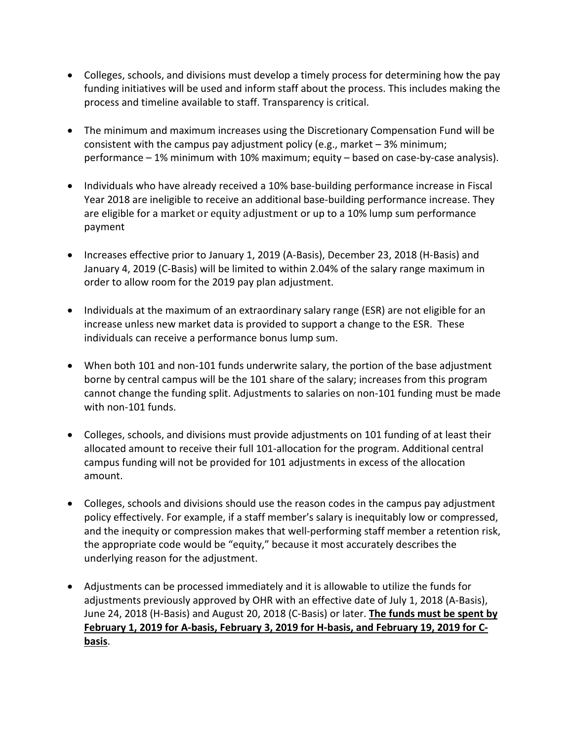- Colleges, schools, and divisions must develop a timely process for determining how the pay funding initiatives will be used and inform staff about the process. This includes making the process and timeline available to staff. Transparency is critical.
- The minimum and maximum increases using the Discretionary Compensation Fund will be consistent with the campus pay adjustment policy (e.g., market – 3% minimum; performance – 1% minimum with 10% maximum; equity – based on case-by-case analysis).
- Individuals who have already received a 10% base-building performance increase in Fiscal Year 2018 are ineligible to receive an additional base-building performance increase. They are eligible for a [market or equity adjustment](https://www.ohr.wisc.edu/docs/PayAdjustmentToolsMechanismsAmountMatrix.pdf) or up to a 10% lump sum performance payment
- Increases effective prior to January 1, 2019 (A-Basis), December 23, 2018 (H-Basis) and January 4, 2019 (C-Basis) will be limited to within 2.04% of the salary range maximum in order to allow room for the 2019 pay plan adjustment.
- Individuals at the maximum of an extraordinary salary range (ESR) are not eligible for an increase unless new market data is provided to support a change to the ESR. These individuals can receive a performance bonus lump sum.
- When both 101 and non-101 funds underwrite salary, the portion of the base adjustment borne by central campus will be the 101 share of the salary; increases from this program cannot change the funding split. Adjustments to salaries on non-101 funding must be made with non-101 funds.
- Colleges, schools, and divisions must provide adjustments on 101 funding of at least their allocated amount to receive their full 101-allocation for the program. Additional central campus funding will not be provided for 101 adjustments in excess of the allocation amount.
- Colleges, schools and divisions should use the reason codes in the campus pay adjustment policy effectively. For example, if a staff member's salary is inequitably low or compressed, and the inequity or compression makes that well-performing staff member a retention risk, the appropriate code would be "equity," because it most accurately describes the underlying reason for the adjustment.
- Adjustments can be processed immediately and it is allowable to utilize the funds for adjustments previously approved by OHR with an effective date of July 1, 2018 (A-Basis), June 24, 2018 (H-Basis) and August 20, 2018 (C-Basis) or later. **The funds must be spent by February 1, 2019 for A-basis, February 3, 2019 for H-basis, and February 19, 2019 for Cbasis**.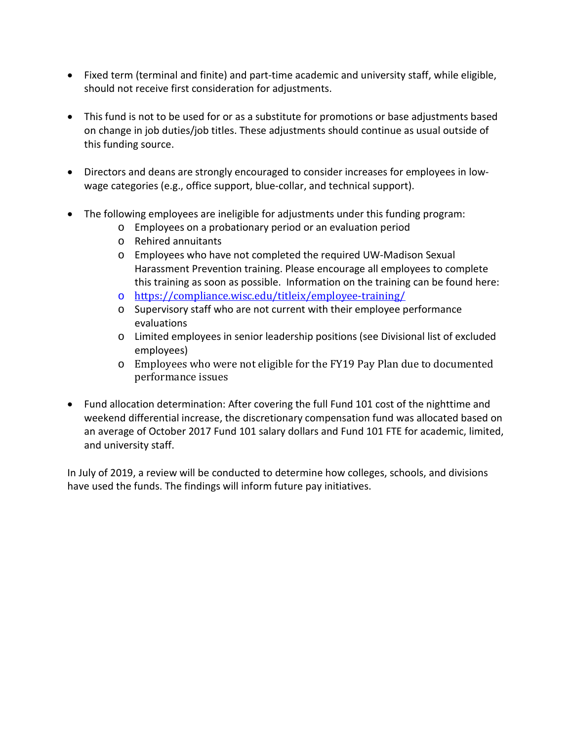- Fixed term (terminal and finite) and part-time academic and university staff, while eligible, should not receive first consideration for adjustments.
- This fund is not to be used for or as a substitute for promotions or base adjustments based on change in job duties/job titles. These adjustments should continue as usual outside of this funding source.
- Directors and deans are strongly encouraged to consider increases for employees in lowwage categories (e.g., office support, blue-collar, and technical support).
- The following employees are ineligible for adjustments under this funding program:
	- o Employees on a probationary period or an evaluation period
	- o Rehired annuitants
	- o Employees who have not completed the required UW-Madison Sexual Harassment Prevention training. Please encourage all employees to complete this training as soon as possible. Information on the training can be found here:
	- o [https://compliance.wisc.edu/titleix/employee-training/](https://compliance.wisc.edu/titleix/employee-training/%20%20%20Supervisory%20staff%20who%20are%20not%20current%20with%20their%20employee%20performance%20evaluationsLimited%20employees%20in%20senior%20leadership%20positions%20(see%20Divisional%20list%20of%20excluded%20employees))
	- o [Supervisory staff who are not current with their employee performance](https://compliance.wisc.edu/titleix/employee-training/%20%20%20Supervisory%20staff%20who%20are%20not%20current%20with%20their%20employee%20performance%20evaluationsLimited%20employees%20in%20senior%20leadership%20positions%20(see%20Divisional%20list%20of%20excluded%20employees))  [evaluations](https://compliance.wisc.edu/titleix/employee-training/%20%20%20Supervisory%20staff%20who%20are%20not%20current%20with%20their%20employee%20performance%20evaluationsLimited%20employees%20in%20senior%20leadership%20positions%20(see%20Divisional%20list%20of%20excluded%20employees))
	- o [Limited employees in senior leadership positions \(see Divisional list of excluded](https://compliance.wisc.edu/titleix/employee-training/%20%20%20Supervisory%20staff%20who%20are%20not%20current%20with%20their%20employee%20performance%20evaluationsLimited%20employees%20in%20senior%20leadership%20positions%20(see%20Divisional%20list%20of%20excluded%20employees))  [employees\)](https://compliance.wisc.edu/titleix/employee-training/%20%20%20Supervisory%20staff%20who%20are%20not%20current%20with%20their%20employee%20performance%20evaluationsLimited%20employees%20in%20senior%20leadership%20positions%20(see%20Divisional%20list%20of%20excluded%20employees))
	- o Employees who were not eligible for the FY19 Pay Plan due to documented performance issues
- Fund allocation determination: After covering the full Fund 101 cost of the nighttime and weekend differential increase, the discretionary compensation fund was allocated based on an average of October 2017 Fund 101 salary dollars and Fund 101 FTE for academic, limited, and university staff.

In July of 2019, a review will be conducted to determine how colleges, schools, and divisions have used the funds. The findings will inform future pay initiatives.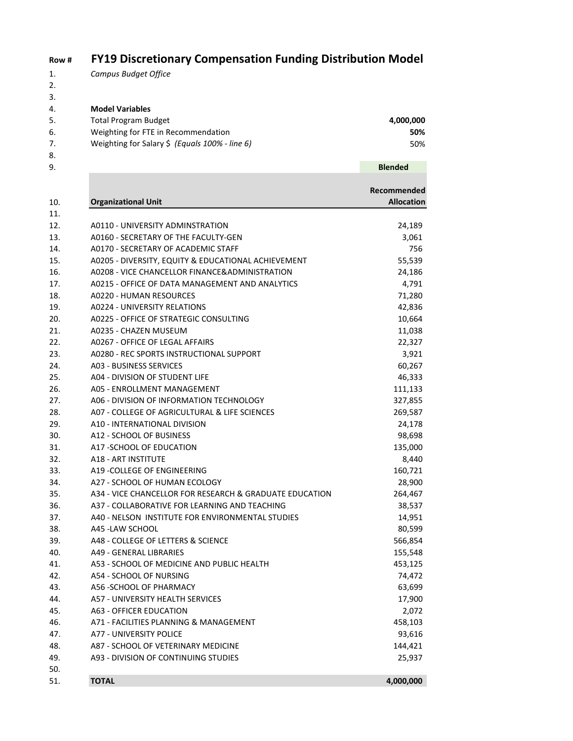#### **Row # FY19 Discretionary Compensation Funding Distribution Model**

- 1. *Campus Budget Office*
- 2.

3. 4. **Model Variables** 5. Total Program Budget **4,000,000**

- 6. Weighting for FTE in Recommendation **50%** 7. Weighting for Salary \$ *(Equals 100% - line 6)* 50%
- 
- 

50.

| 8.  |                                                         |                   |
|-----|---------------------------------------------------------|-------------------|
| 9.  |                                                         | <b>Blended</b>    |
|     |                                                         |                   |
|     |                                                         | Recommended       |
| 10. | <b>Organizational Unit</b>                              | <b>Allocation</b> |
| 11. |                                                         |                   |
| 12. | A0110 - UNIVERSITY ADMINSTRATION                        | 24,189            |
| 13. | A0160 - SECRETARY OF THE FACULTY-GEN                    | 3,061             |
| 14. | A0170 - SECRETARY OF ACADEMIC STAFF                     | 756               |
| 15. | A0205 - DIVERSITY, EQUITY & EDUCATIONAL ACHIEVEMENT     | 55,539            |
| 16. | A0208 - VICE CHANCELLOR FINANCE&ADMINISTRATION          | 24,186            |
| 17. | A0215 - OFFICE OF DATA MANAGEMENT AND ANALYTICS         | 4,791             |
| 18. | A0220 - HUMAN RESOURCES                                 | 71,280            |
| 19. | <b>A0224 - UNIVERSITY RELATIONS</b>                     | 42,836            |
| 20. | A0225 - OFFICE OF STRATEGIC CONSULTING                  | 10,664            |
| 21. | A0235 - CHAZEN MUSEUM                                   | 11,038            |
| 22. | A0267 - OFFICE OF LEGAL AFFAIRS                         | 22,327            |
| 23. | A0280 - REC SPORTS INSTRUCTIONAL SUPPORT                | 3,921             |
| 24. | A03 - BUSINESS SERVICES                                 | 60,267            |
| 25. | A04 - DIVISION OF STUDENT LIFE                          | 46,333            |
| 26. | A05 - ENROLLMENT MANAGEMENT                             | 111,133           |
| 27. | A06 - DIVISION OF INFORMATION TECHNOLOGY                | 327,855           |
| 28. | A07 - COLLEGE OF AGRICULTURAL & LIFE SCIENCES           | 269,587           |
| 29. | A10 - INTERNATIONAL DIVISION                            | 24,178            |
| 30. | A12 - SCHOOL OF BUSINESS                                | 98,698            |
| 31. | A17 - SCHOOL OF EDUCATION                               | 135,000           |
| 32. | <b>A18 - ART INSTITUTE</b>                              | 8,440             |
| 33. | A19 - COLLEGE OF ENGINEERING                            | 160,721           |
| 34. | A27 - SCHOOL OF HUMAN ECOLOGY                           | 28,900            |
| 35. | A34 - VICE CHANCELLOR FOR RESEARCH & GRADUATE EDUCATION | 264,467           |
| 36. | A37 - COLLABORATIVE FOR LEARNING AND TEACHING           | 38,537            |
| 37. | A40 - NELSON INSTITUTE FOR ENVIRONMENTAL STUDIES        | 14,951            |
| 38. | A45 - LAW SCHOOL                                        | 80,599            |
| 39. | A48 - COLLEGE OF LETTERS & SCIENCE                      | 566,854           |
| 40. | A49 - GENERAL LIBRARIES                                 | 155,548           |
| 41. | A53 - SCHOOL OF MEDICINE AND PUBLIC HEALTH              | 453,125           |
| 42. | A54 - SCHOOL OF NURSING                                 | 74,472            |
| 43. | A56 - SCHOOL OF PHARMACY                                | 63,699            |
| 44. | <b>A57 - UNIVERSITY HEALTH SERVICES</b>                 | 17,900            |

| 43. | A56 -SCHOOL OF PHARMACY                | 63.699  |
|-----|----------------------------------------|---------|
| 44. | A57 - UNIVERSITY HEALTH SERVICES       | 17,900  |
| 45. | A63 - OFFICER EDUCATION                | 2.072   |
| 46. | A71 - FACILITIES PLANNING & MANAGEMENT | 458,103 |
| 47. | A77 - UNIVERSITY POLICE                | 93,616  |

48. A87 - SCHOOL OF VETERINARY MEDICINE 144,421 49. A93 - DIVISION OF CONTINUING STUDIES 25,937

51. **TOTAL 4,000,000**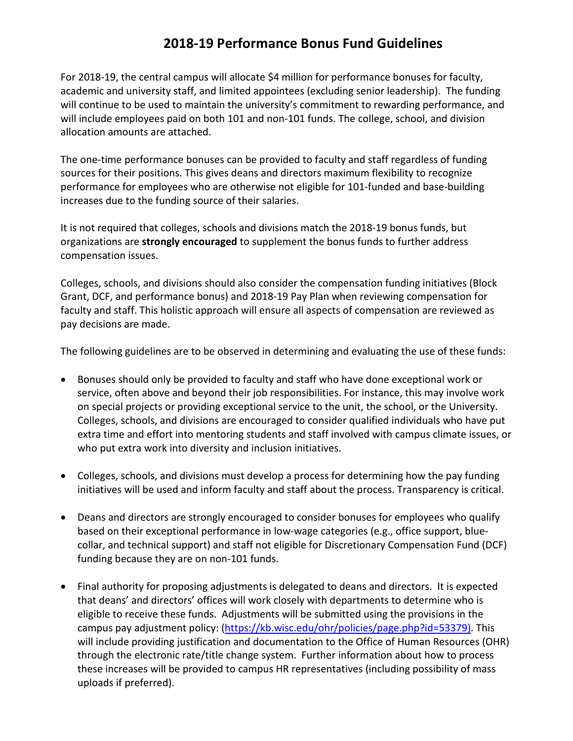#### **2018-19 Performance Bonus Fund Guidelines**

For 2018-19, the central campus will allocate \$4 million for performance bonuses for faculty, academic and university staff, and limited appointees (excluding senior leadership). The funding will continue to be used to maintain the university's commitment to rewarding performance, and will include employees paid on both 101 and non-101 funds. The college, school, and division allocation amounts are attached.

The one-time performance bonuses can be provided to faculty and staff regardless of funding sources for their positions. This gives deans and directors maximum flexibility to recognize performance for employees who are otherwise not eligible for 101-funded and base-building increases due to the funding source of their salaries.

It is not required that colleges, schools and divisions match the 2018-19 bonus funds, but organizations are **strongly encouraged** to supplement the bonus funds to further address compensation issues.

Colleges, schools, and divisions should also consider the compensation funding initiatives (Block Grant, DCF, and performance bonus) and 2018-19 Pay Plan when reviewing compensation for faculty and staff. This holistic approach will ensure all aspects of compensation are reviewed as pay decisions are made.

The following guidelines are to be observed in determining and evaluating the use of these funds:

- Bonuses should only be provided to faculty and staff who have done exceptional work or service, often above and beyond their job responsibilities. For instance, this may involve work on special projects or providing exceptional service to the unit, the school, or the University. Colleges, schools, and divisions are encouraged to consider qualified individuals who have put extra time and effort into mentoring students and staff involved with campus climate issues, or who put extra work into diversity and inclusion initiatives.
- Colleges, schools, and divisions must develop a process for determining how the pay funding initiatives will be used and inform faculty and staff about the process. Transparency is critical.
- Deans and directors are strongly encouraged to consider bonuses for employees who qualify based on their exceptional performance in low-wage categories (e.g., office support, bluecollar, and technical support) and staff not eligible for Discretionary Compensation Fund (DCF) funding because they are on non-101 funds.
- Final authority for proposing adjustments is delegated to deans and directors. It is expected that deans' and directors' offices will work closely with departments to determine who is eligible to receive these funds. Adjustments will be submitted using the provisions in the campus pay adjustment policy: [\(https://kb.wisc.edu/ohr/policies/page.php?id=53379\)](https://kb.wisc.edu/ohr/policies/page.php?id=53379). This will include providing justification and documentation to the Office of Human Resources (OHR) through the electronic rate/title change system. Further information about how to process these increases will be provided to campus HR representatives (including possibility of mass uploads if preferred).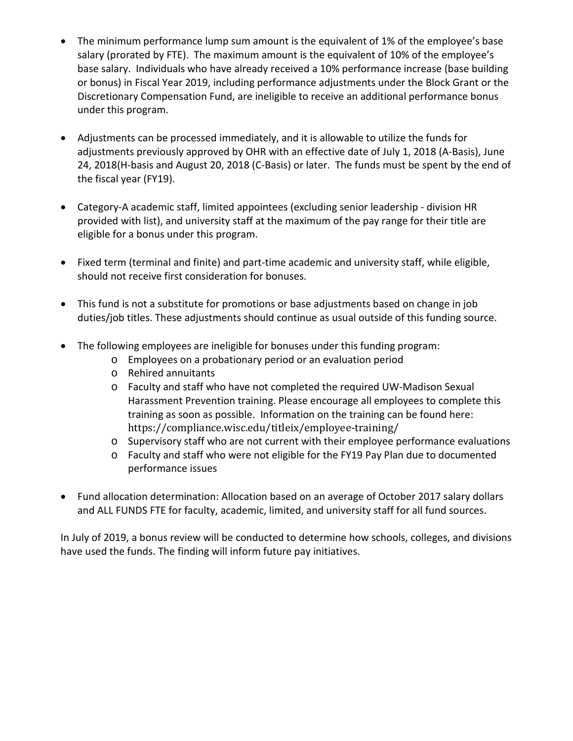- The minimum performance lump sum amount is the equivalent of 1% of the employee's base salary (prorated by FTE). The maximum amount is the equivalent of 10% of the employee's base salary. Individuals who have already received a 10% performance increase (base building or bonus) in Fiscal Year 2019, including performance adjustments under the Block Grant or the Discretionary Compensation Fund, are ineligible to receive an additional performance bonus under this program.
- Adjustments can be processed immediately, and it is allowable to utilize the funds for adjustments previously approved by OHR with an effective date of July 1, 2018 (A-Basis), June 24, 2018(H-basis and August 20, 2018 (C-Basis) or later. The funds must be spent by the end of the fiscal year (FY19).
- Category-A academic staff, limited appointees (excluding senior leadership division HR provided with list), and university staff at the maximum of the pay range for their title are eligible for a bonus under this program.
- Fixed term (terminal and finite) and part-time academic and university staff, while eligible, should not receive first consideration for bonuses.
- This fund is not a substitute for promotions or base adjustments based on change in job duties/job titles. These adjustments should continue as usual outside of this funding source.
- The following employees are ineligible for bonuses under this funding program:
	- o Employees on a probationary period or an evaluation period
	- o Rehired annuitants
	- o Faculty and staff who have not completed the required UW-Madison Sexual Harassment Prevention training. Please encourage all employees to complete this training as soon as possible. Information on the training can be found here: https://compliance.wisc.edu/titleix/employee-training/
	- o Supervisory staff who are not current with their employee performance evaluations
	- o Faculty and staff who were not eligible for the FY19 Pay Plan due to documented performance issues
- Fund allocation determination: Allocation based on an average of October 2017 salary dollars and ALL FUNDS FTE for faculty, academic, limited, and university staff for all fund sources.

In July of 2019, a bonus review will be conducted to determine how schools, colleges, and divisions have used the funds. The finding will inform future pay initiatives.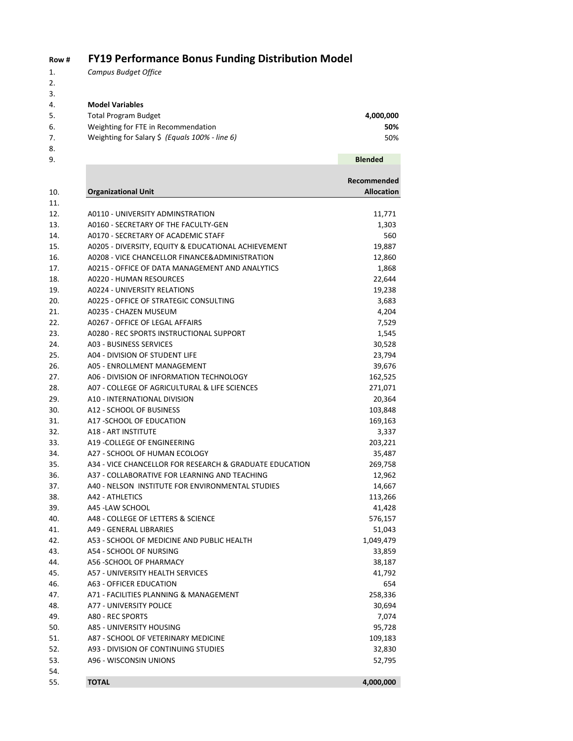#### **Row # FY19 Performance Bonus Funding Distribution Model**

1. *Campus Budget Office*

2.  $\frac{3}{4}$ .

| 4. | <b>Model Variables</b>                         |                |
|----|------------------------------------------------|----------------|
| 5. | <b>Total Program Budget</b>                    | 4,000,000      |
| 6. | Weighting for FTE in Recommendation            | 50%            |
| 7. | Weighting for Salary \$ (Equals 100% - line 6) | 50%            |
| 8. |                                                |                |
| 9. |                                                | <b>Blended</b> |

| 9.  |                                                         | <b>Blended</b>    |
|-----|---------------------------------------------------------|-------------------|
|     |                                                         |                   |
|     |                                                         | Recommended       |
| 10. | <b>Organizational Unit</b>                              | <b>Allocation</b> |
| 11. |                                                         |                   |
| 12. | A0110 - UNIVERSITY ADMINSTRATION                        | 11,771            |
| 13. | A0160 - SECRETARY OF THE FACULTY-GEN                    | 1,303             |
| 14. | A0170 - SECRETARY OF ACADEMIC STAFF                     | 560               |
| 15. | A0205 - DIVERSITY, EQUITY & EDUCATIONAL ACHIEVEMENT     | 19,887            |
| 16. | A0208 - VICE CHANCELLOR FINANCE&ADMINISTRATION          | 12,860            |
| 17. | A0215 - OFFICE OF DATA MANAGEMENT AND ANALYTICS         | 1,868             |
| 18. | A0220 - HUMAN RESOURCES                                 | 22,644            |
| 19. | <b>A0224 - UNIVERSITY RELATIONS</b>                     | 19,238            |
| 20. | A0225 - OFFICE OF STRATEGIC CONSULTING                  | 3,683             |
| 21. | A0235 - CHAZEN MUSEUM                                   | 4,204             |
| 22. | A0267 - OFFICE OF LEGAL AFFAIRS                         | 7,529             |
| 23. | A0280 - REC SPORTS INSTRUCTIONAL SUPPORT                | 1,545             |
| 24. | A03 - BUSINESS SERVICES                                 | 30,528            |
| 25. | A04 - DIVISION OF STUDENT LIFE                          | 23,794            |
| 26. | A05 - ENROLLMENT MANAGEMENT                             | 39,676            |
| 27. | A06 - DIVISION OF INFORMATION TECHNOLOGY                | 162,525           |
| 28. | A07 - COLLEGE OF AGRICULTURAL & LIFE SCIENCES           | 271,071           |
| 29. | A10 - INTERNATIONAL DIVISION                            | 20,364            |
| 30. | A12 - SCHOOL OF BUSINESS                                | 103,848           |
| 31. | A17 - SCHOOL OF EDUCATION                               | 169,163           |
| 32. | <b>A18 - ART INSTITUTE</b>                              | 3,337             |
| 33. | A19 - COLLEGE OF ENGINEERING                            | 203,221           |
| 34. | A27 - SCHOOL OF HUMAN ECOLOGY                           | 35,487            |
| 35. | A34 - VICE CHANCELLOR FOR RESEARCH & GRADUATE EDUCATION | 269,758           |
| 36. | A37 - COLLABORATIVE FOR LEARNING AND TEACHING           | 12,962            |
| 37. | A40 - NELSON INSTITUTE FOR ENVIRONMENTAL STUDIES        | 14,667            |
| 38. | A42 - ATHLETICS                                         | 113,266           |
| 39. | A45 - LAW SCHOOL                                        | 41,428            |
| 40. | A48 - COLLEGE OF LETTERS & SCIENCE                      | 576,157           |
| 41. | A49 - GENERAL LIBRARIES                                 | 51,043            |
| 42. | A53 - SCHOOL OF MEDICINE AND PUBLIC HEALTH              | 1,049,479         |
| 43. | A54 - SCHOOL OF NURSING                                 | 33,859            |
| 44. | A56 - SCHOOL OF PHARMACY                                | 38,187            |
| 45. | <b>A57 - UNIVERSITY HEALTH SERVICES</b>                 | 41,792            |
| 46. | A63 - OFFICER EDUCATION                                 | 654               |
| 47. | A71 - FACILITIES PLANNING & MANAGEMENT                  | 258,336           |
| 48. | A77 - UNIVERSITY POLICE                                 | 30,694            |
| 49. | A80 - REC SPORTS                                        | 7,074             |
| 50. | <b>A85 - UNIVERSITY HOUSING</b>                         | 95,728            |
| 51. | A87 - SCHOOL OF VETERINARY MEDICINE                     | 109,183           |
| 52. | A93 - DIVISION OF CONTINUING STUDIES                    | 32,830            |
| 53. | A96 - WISCONSIN UNIONS                                  | 52,795            |
|     |                                                         |                   |
| 54. |                                                         |                   |

55. **TOTAL 4,000,000**